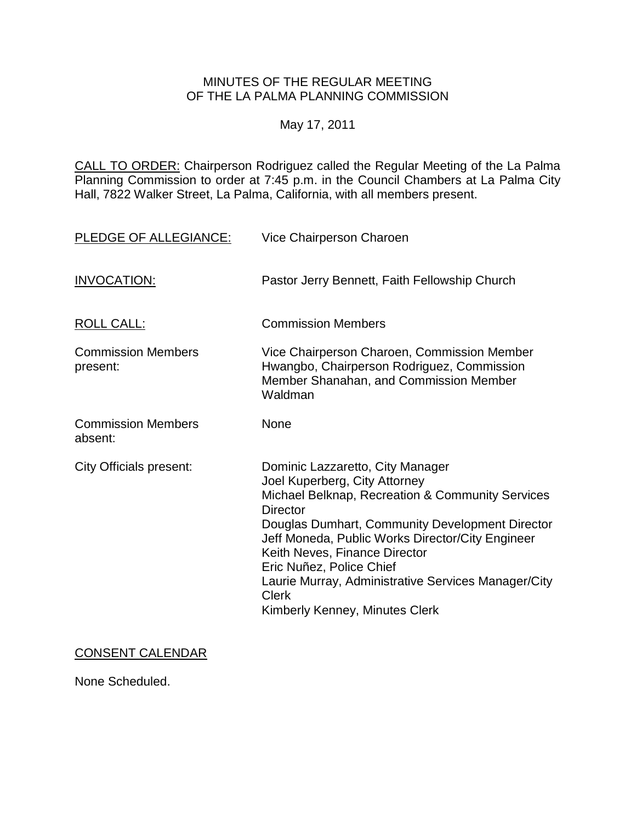# MINUTES OF THE REGULAR MEETING OF THE LA PALMA PLANNING COMMISSION

# May 17, 2011

CALL TO ORDER: [Chairperson Rodriguez called the Regular Meeting of the La Palma](http://lapalma.granicus.com/MediaPlayerFrameHandler.php?view_id=&clip_id=587&meta_id=73863)  Planning Commission to order at 7:45 [p.m. in the Council Chambers at La Palma City](http://lapalma.granicus.com/MediaPlayerFrameHandler.php?view_id=&clip_id=587&meta_id=73863)  [Hall, 7822 Walker Street, La Palma, California, with all members present.](http://lapalma.granicus.com/MediaPlayerFrameHandler.php?view_id=&clip_id=587&meta_id=73863) 

| PLEDGE OF ALLEGIANCE:                 | Vice Chairperson Charoen                                                                                                                                                                                                                                                                                                                                                                                              |
|---------------------------------------|-----------------------------------------------------------------------------------------------------------------------------------------------------------------------------------------------------------------------------------------------------------------------------------------------------------------------------------------------------------------------------------------------------------------------|
| <b>INVOCATION:</b>                    | Pastor Jerry Bennett, Faith Fellowship Church                                                                                                                                                                                                                                                                                                                                                                         |
| <b>ROLL CALL:</b>                     | <b>Commission Members</b>                                                                                                                                                                                                                                                                                                                                                                                             |
| <b>Commission Members</b><br>present: | Vice Chairperson Charoen, Commission Member<br>Hwangbo, Chairperson Rodriguez, Commission<br>Member Shanahan, and Commission Member<br>Waldman                                                                                                                                                                                                                                                                        |
| <b>Commission Members</b><br>absent:  | None                                                                                                                                                                                                                                                                                                                                                                                                                  |
| <b>City Officials present:</b>        | Dominic Lazzaretto, City Manager<br>Joel Kuperberg, City Attorney<br>Michael Belknap, Recreation & Community Services<br><b>Director</b><br>Douglas Dumhart, Community Development Director<br>Jeff Moneda, Public Works Director/City Engineer<br>Keith Neves, Finance Director<br>Eric Nuñez, Police Chief<br>Laurie Murray, Administrative Services Manager/City<br><b>Clerk</b><br>Kimberly Kenney, Minutes Clerk |

## CONSENT CALENDAR

None Scheduled.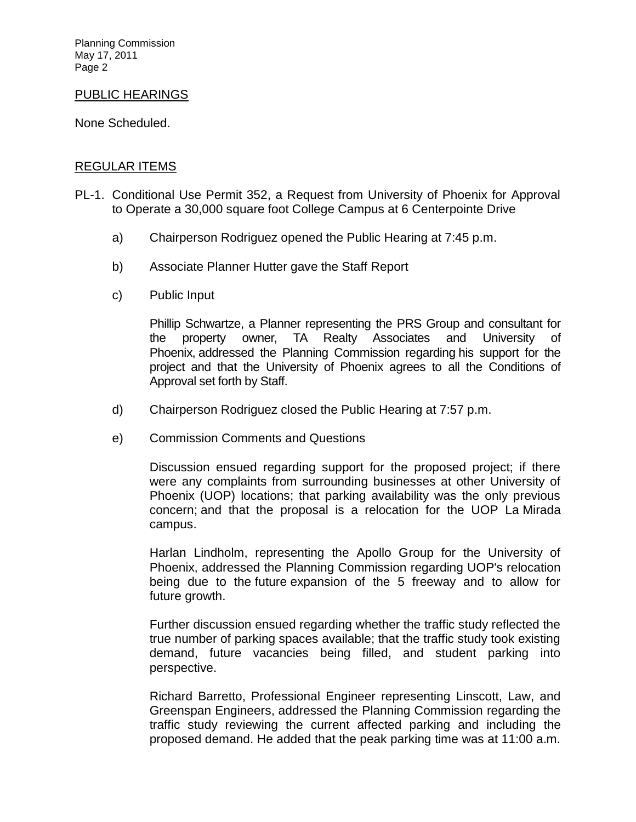Planning Commission May 17, 2011 Page 2

#### PUBLIC HEARINGS

None Scheduled.

## [REGULAR ITEMS](http://lapalma.granicus.com/MediaPlayerFrameHandler.php?view_id=&clip_id=587&meta_id=73885)

- PL-1. [Conditional Use Permit 352, a Request from University of Phoenix for Approval](http://lapalma.granicus.com/MediaPlayerFrameHandler.php?view_id=&clip_id=587&meta_id=73886)  [to Operate a 30,000 square foot College Campus at 6 Centerpointe Drive](http://lapalma.granicus.com/MediaPlayerFrameHandler.php?view_id=&clip_id=587&meta_id=73886) 
	- a) [Chairperson Rodriguez opened the Public Hearing at 7:45 p.m.](http://lapalma.granicus.com/MediaPlayerFrameHandler.php?view_id=&clip_id=587&meta_id=73887)
	- b) [Associate Planner Hutter gave the Staff Report](http://lapalma.granicus.com/MediaPlayerFrameHandler.php?view_id=&clip_id=587&meta_id=73888)
	- c) [Public Input](http://lapalma.granicus.com/MediaPlayerFrameHandler.php?view_id=&clip_id=587&meta_id=73889)

Phillip Schwartze, a Planner representing the PRS Group and consultant for the property owner, TA Realty Associates and University of Phoenix, addressed the Planning Commission regarding his support for the project and that the University of Phoenix agrees to all the Conditions of Approval set forth by Staff.

- d) [Chairperson Rodriguez closed the Public Hearing at 7:57 p.m.](http://lapalma.granicus.com/MediaPlayerFrameHandler.php?view_id=&clip_id=587&meta_id=73890)
- e) [Commission Comments and Questions](http://lapalma.granicus.com/MediaPlayerFrameHandler.php?view_id=&clip_id=587&meta_id=73891)

Discussion ensued regarding support for the proposed project; if there were any complaints from surrounding businesses at other University of Phoenix (UOP) locations; that parking availability was the only previous concern; and that the proposal is a relocation for the UOP La Mirada campus.

Harlan Lindholm, representing the Apollo Group for the University of Phoenix, addressed the Planning Commission regarding UOP's relocation being due to the future expansion of the 5 freeway and to allow for future growth.

Further discussion ensued regarding whether the traffic study reflected the true number of parking spaces available; that the traffic study took existing demand, future vacancies being filled, and student parking into perspective.

Richard Barretto, Professional Engineer representing Linscott, Law, and Greenspan Engineers, addressed the Planning Commission regarding the traffic study reviewing the current affected parking and including the proposed demand. He added that the peak parking time was at 11:00 a.m.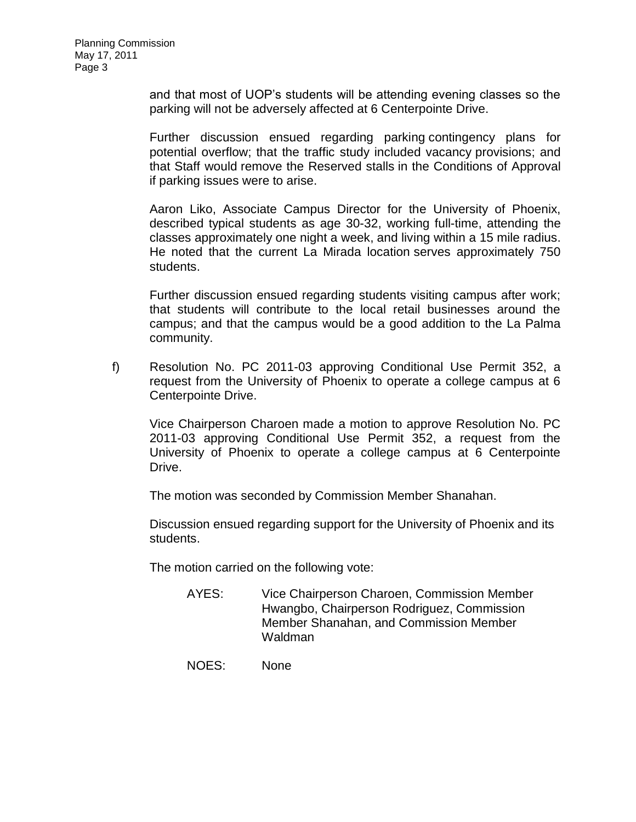and that most of UOP's students will be attending evening classes so the parking will not be adversely affected at 6 Centerpointe Drive.

Further discussion ensued regarding parking contingency plans for potential overflow; that the traffic study included vacancy provisions; and that Staff would remove the Reserved stalls in the Conditions of Approval if parking issues were to arise.

Aaron Liko, Associate Campus Director for the University of Phoenix, described typical students as age 30-32, working full-time, attending the classes approximately one night a week, and living within a 15 mile radius. He noted that the current La Mirada location serves approximately 750 students.

Further discussion ensued regarding students visiting campus after work; that students will contribute to the local retail businesses around the campus; and that the campus would be a good addition to the La Palma community.

f) [Resolution No. PC 2011-03 approving Conditional Use Permit 352, a](http://lapalma.granicus.com/MediaPlayerFrameHandler.php?view_id=&clip_id=587&meta_id=73892)  [request from the University of Phoenix to operate a college campus at 6](http://lapalma.granicus.com/MediaPlayerFrameHandler.php?view_id=&clip_id=587&meta_id=73892)  [Centerpointe Drive.](http://lapalma.granicus.com/MediaPlayerFrameHandler.php?view_id=&clip_id=587&meta_id=73892)

Vice Chairperson Charoen made a motion to approve Resolution No. PC 2011-03 approving Conditional Use Permit 352, a request from the University of Phoenix to operate a college campus at 6 Centerpointe Drive.

The motion was seconded by Commission Member Shanahan.

Discussion ensued regarding support for the University of Phoenix and its students.

The motion carried on the following vote:

- AYES: Vice Chairperson Charoen, Commission Member Hwangbo, Chairperson Rodriguez, Commission Member Shanahan, and Commission Member Waldman
- NOES: None